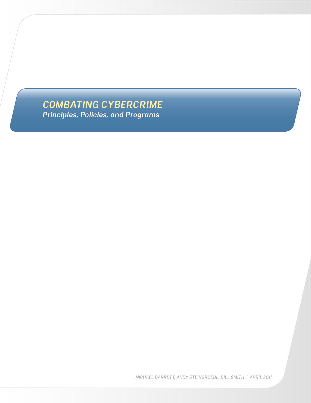*COMBATING CYBERCRIME Principles, Policies, and Programs*

*MICHAEL BARRETT, ANDY STEINGRUEBL, BILL SMITH | APRIL 2011*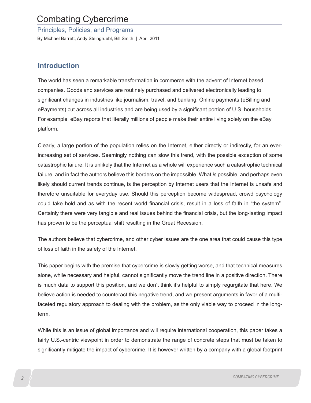# Combating Cybercrime

Principles, Policies, and Programs

By Michael Barrett, Andy Steingruebl, Bill Smith | April 2011

## **Introduction**

The world has seen a remarkable transformation in commerce with the advent of Internet based companies. Goods and services are routinely purchased and delivered electronically leading to significant changes in industries like journalism, travel, and banking. Online payments (eBilling and ePayments) cut across all industries and are being used by a significant portion of U.S. households. For example, eBay reports that literally millions of people make their entire living solely on the eBay platform.

Clearly, a large portion of the population relies on the Internet, either directly or indirectly, for an everincreasing set of services. Seemingly nothing can slow this trend, with the possible exception of some catastrophic failure. It is unlikely that the Internet as a whole will experience such a catastrophic technical failure, and in fact the authors believe this borders on the impossible. What *is* possible, and perhaps even likely should current trends continue, is the perception by Internet users that the Internet is unsafe and therefore unsuitable for everyday use. Should this perception become widespread, crowd psychology could take hold and as with the recent world financial crisis, result in a loss of faith in "the system". Certainly there were very tangible and real issues behind the financial crisis, but the long-lasting impact has proven to be the perceptual shift resulting in the Great Recession.

The authors believe that cybercrime, and other cyber issues are the one area that could cause this type of loss of faith in the safety of the Internet.

This paper begins with the premise that cybercrime is slowly getting worse, and that technical measures alone, while necessary and helpful, cannot significantly move the trend line in a positive direction. There is much data to support this position, and we don't think it's helpful to simply regurgitate that here. We believe action is needed to counteract this negative trend, and we present arguments in favor of a multifaceted regulatory approach to dealing with the problem, as the only viable way to proceed in the longterm.

While this is an issue of global importance and will require international cooperation, this paper takes a fairly U.S.-centric viewpoint in order to demonstrate the range of concrete steps that must be taken to significantly mitigate the impact of cybercrime. It is however written by a company with a global footprint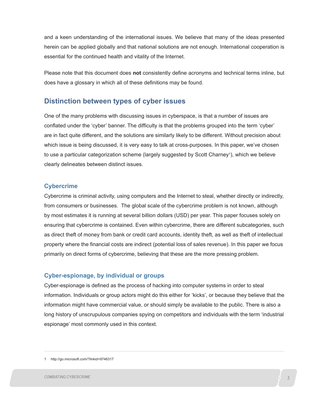and a keen understanding of the international issues. We believe that many of the ideas presented herein can be applied globally and that national solutions are not enough. International cooperation is essential for the continued health and vitality of the Internet.

Please note that this document does **not** consistently define acronyms and technical terms inline, but does have a glossary in which all of these definitions may be found.

## **Distinction between types of cyber issues**

One of the many problems with discussing issues in cyberspace, is that a number of issues are conflated under the 'cyber' banner. The difficulty is that the problems grouped into the term 'cyber' are in fact quite different, and the solutions are similarly likely to be different. Without precision about which issue is being discussed, it is very easy to talk at cross-purposes. In this paper, we've chosen to use a particular categorization scheme (largely suggested by Scott Charney<sup>1</sup>), which we believe clearly delineates between distinct issues.

### **Cybercrime**

Cybercrime is criminal activity, using computers and the Internet to steal, whether directly or indirectly, from consumers or businesses. The global scale of the cybercrime problem is not known, although by most estimates it is running at several billion dollars (USD) per year. This paper focuses solely on ensuring that cybercrime is contained. Even within cybercrime, there are different subcategories, such as direct theft of money from bank or credit card accounts, identity theft, as well as theft of intellectual property where the financial costs are indirect (potential loss of sales revenue). In this paper we focus primarily on direct forms of cybercrime, believing that these are the more pressing problem.

## **Cyber-espionage, by individual or groups**

Cyber-espionage is defined as the process of hacking into computer systems in order to steal information. Individuals or group actors might do this either for 'kicks', or because they believe that the information might have commercial value, or should simply be available to the public. There is also a long history of unscrupulous companies spying on competitors and individuals with the term 'industrial espionage' most commonly used in this context.

1 http://go.microsoft.com/?linkid=9746317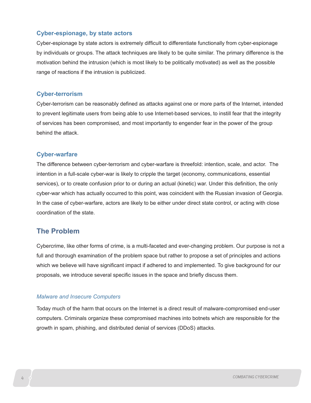### **Cyber-espionage, by state actors**

Cyber-espionage by state actors is extremely difficult to differentiate functionally from cyber-espionage by individuals or groups. The attack techniques are likely to be quite similar. The primary difference is the motivation behind the intrusion (which is most likely to be politically motivated) as well as the possible range of reactions if the intrusion is publicized.

### **Cyber-terrorism**

Cyber-terrorism can be reasonably defined as attacks against one or more parts of the Internet, intended to prevent legitimate users from being able to use Internet-based services, to instill fear that the integrity of services has been compromised, and most importantly to engender fear in the power of the group behind the attack.

### **Cyber-warfare**

The difference between cyber-terrorism and cyber-warfare is threefold: intention, scale, and actor. The intention in a full-scale cyber-war is likely to cripple the target (economy, communications, essential services), or to create confusion prior to or during an actual (kinetic) war. Under this definition, the only cyber-war which has actually occurred to this point, was coincident with the Russian invasion of Georgia. In the case of cyber-warfare, actors are likely to be either under direct state control, or acting with close coordination of the state.

## **The Problem**

Cybercrime, like other forms of crime, is a multi-faceted and ever-changing problem. Our purpose is not a full and thorough examination of the problem space but rather to propose a set of principles and actions which we believe will have significant impact if adhered to and implemented. To give background for our proposals, we introduce several specific issues in the space and briefly discuss them.

### *Malware and Insecure Computers*

Today much of the harm that occurs on the Internet is a direct result of malware-compromised end-user computers. Criminals organize these compromised machines into botnets which are responsible for the growth in spam, phishing, and distributed denial of services (DDoS) attacks.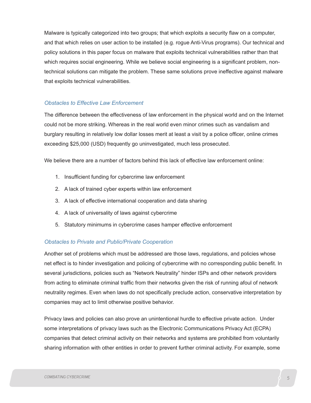Malware is typically categorized into two groups; that which exploits a security flaw on a computer, and that which relies on user action to be installed (e.g. rogue Anti-Virus programs). Our technical and policy solutions in this paper focus on malware that exploits technical vulnerabilities rather than that which requires social engineering. While we believe social engineering is a significant problem, nontechnical solutions can mitigate the problem. These same solutions prove ineffective against malware that exploits technical vulnerabilities.

### *Obstacles to Effective Law Enforcement*

The difference between the effectiveness of law enforcement in the physical world and on the Internet could not be more striking. Whereas in the real world even minor crimes such as vandalism and burglary resulting in relatively low dollar losses merit at least a visit by a police officer, online crimes exceeding \$25,000 (USD) frequently go uninvestigated, much less prosecuted.

We believe there are a number of factors behind this lack of effective law enforcement online:

- 1. Insufficient funding for cybercrime law enforcement
- 2. A lack of trained cyber experts within law enforcement
- 3. A lack of effective international cooperation and data sharing
- 4. A lack of universality of laws against cybercrime
- 5. Statutory minimums in cybercrime cases hamper effective enforcement

### *Obstacles to Private and Public/Private Cooperation*

Another set of problems which must be addressed are those laws, regulations, and policies whose net effect is to hinder investigation and policing of cybercrime with no corresponding public benefit. In several jurisdictions, policies such as "Network Neutrality" hinder ISPs and other network providers from acting to eliminate criminal traffic from their networks given the risk of running afoul of network neutrality regimes. Even when laws do not specifically preclude action, conservative interpretation by companies may act to limit otherwise positive behavior.

Privacy laws and policies can also prove an unintentional hurdle to effective private action. Under some interpretations of privacy laws such as the Electronic Communications Privacy Act (ECPA) companies that detect criminal activity on their networks and systems are prohibited from voluntarily sharing information with other entities in order to prevent further criminal activity. For example, some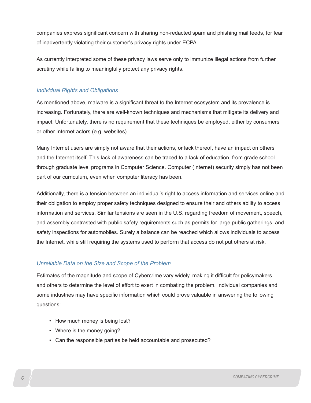companies express significant concern with sharing non-redacted spam and phishing mail feeds, for fear of inadvertently violating their customer's privacy rights under ECPA.

As currently interpreted some of these privacy laws serve only to immunize illegal actions from further scrutiny while failing to meaningfully protect any privacy rights.

### *Individual Rights and Obligations*

As mentioned above, malware is a significant threat to the Internet ecosystem and its prevalence is increasing. Fortunately, there are well-known techniques and mechanisms that mitigate its delivery and impact. Unfortunately, there is no requirement that these techniques be employed, either by consumers or other Internet actors (e.g. websites).

Many Internet users are simply not aware that their actions, or lack thereof, have an impact on others and the Internet itself. This lack of awareness can be traced to a lack of education, from grade school through graduate level programs in Computer Science. Computer (Internet) security simply has not been part of our curriculum, even when computer literacy has been.

Additionally, there is a tension between an individual's right to access information and services online and their obligation to employ proper safety techniques designed to ensure their and others ability to access information and services. Similar tensions are seen in the U.S. regarding freedom of movement, speech, and assembly contrasted with public safety requirements such as permits for large public gatherings, and safety inspections for automobiles. Surely a balance can be reached which allows individuals to access the Internet, while still requiring the systems used to perform that access do not put others at risk.

### *Unreliable Data on the Size and Scope of the Problem*

Estimates of the magnitude and scope of Cybercrime vary widely, making it difficult for policymakers and others to determine the level of effort to exert in combating the problem. Individual companies and some industries may have specific information which could prove valuable in answering the following questions:

- How much money is being lost?
- Where is the money going?
- Can the responsible parties be held accountable and prosecuted?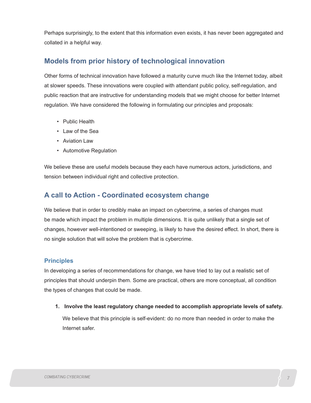Perhaps surprisingly, to the extent that this information even exists, it has never been aggregated and collated in a helpful way.

## **Models from prior history of technological innovation**

Other forms of technical innovation have followed a maturity curve much like the Internet today, albeit at slower speeds. These innovations were coupled with attendant public policy, self-regulation, and public reaction that are instructive for understanding models that we might choose for better Internet regulation. We have considered the following in formulating our principles and proposals:

- Public Health
- Law of the Sea
- Aviation Law
- Automotive Regulation

We believe these are useful models because they each have numerous actors, jurisdictions, and tension between individual right and collective protection.

## **A call to Action - Coordinated ecosystem change**

We believe that in order to credibly make an impact on cybercrime, a series of changes must be made which impact the problem in multiple dimensions. It is quite unlikely that a single set of changes, however well-intentioned or sweeping, is likely to have the desired effect. In short, there is no single solution that will solve the problem that is cybercrime.

### **Principles**

In developing a series of recommendations for change, we have tried to lay out a realistic set of principles that should underpin them. Some are practical, others are more conceptual, all condition the types of changes that could be made.

**1. Involve the least regulatory change needed to accomplish appropriate levels of safety.** We believe that this principle is self-evident: do no more than needed in order to make the Internet safer.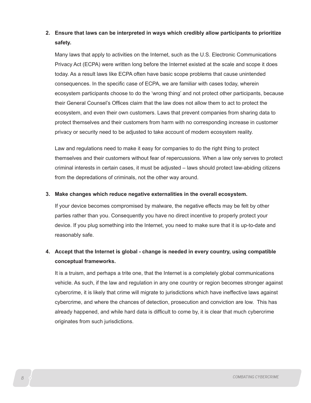## **2. Ensure that laws can be interpreted in ways which credibly allow participants to prioritize safety.**

Many laws that apply to activities on the Internet, such as the U.S. Electronic Communications Privacy Act (ECPA) were written long before the Internet existed at the scale and scope it does today. As a result laws like ECPA often have basic scope problems that cause unintended consequences. In the specific case of ECPA, we are familiar with cases today, wherein ecosystem participants choose to do the 'wrong thing' and not protect other participants, because their General Counsel's Offices claim that the law does not allow them to act to protect the ecosystem, and even their own customers. Laws that prevent companies from sharing data to protect themselves and their customers from harm with no corresponding increase in customer privacy or security need to be adjusted to take account of modern ecosystem reality.

Law and regulations need to make it easy for companies to do the right thing to protect themselves and their customers without fear of repercussions. When a law only serves to protect criminal interests in certain cases, it must be adjusted – laws should protect law-abiding citizens from the depredations of criminals, not the other way around.

#### **3. Make changes which reduce negative externalities in the overall ecosystem.**

If your device becomes compromised by malware, the negative effects may be felt by other parties rather than you. Consequently you have no direct incentive to properly protect your device. If you plug something into the Internet, you need to make sure that it is up-to-date and reasonably safe.

## **4. Accept that the Internet is global - change is needed in every country, using compatible conceptual frameworks.**

It is a truism, and perhaps a trite one, that the Internet is a completely global communications vehicle. As such, if the law and regulation in any one country or region becomes stronger against cybercrime, it is likely that crime will migrate to jurisdictions which have ineffective laws against cybercrime, and where the chances of detection, prosecution and conviction are low. This has already happened, and while hard data is difficult to come by, it is clear that much cybercrime originates from such jurisdictions.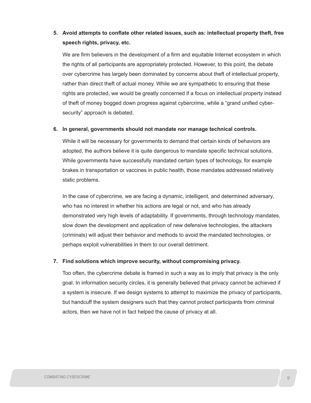## **5. Avoid attempts to conflate other related issues, such as: intellectual property theft, free speech rights, privacy, etc.**

We are firm believers in the development of a firm and equitable Internet ecosystem in which the rights of all participants are appropriately protected. However, to this point, the debate over cybercrime has largely been dominated by concerns about theft of intellectual property, rather than direct theft of actual money. While we are sympathetic to ensuring that these rights are protected, we would be greatly concerned if a focus on intellectual property instead of theft of money bogged down progress against cybercrime, while a "grand unified cybersecurity" approach is debated.

#### **6. In general, governments should not mandate nor manage technical controls.**

While it will be necessary for governments to demand that certain kinds of behaviors are adopted, the authors believe it is quite dangerous to mandate specific technical solutions. While governments have successfully mandated certain types of technology, for example brakes in transportation or vaccines in public health, those mandates addressed relatively static problems.

In the case of cybercrime, we are facing a dynamic, intelligent, and determined adversary, who has no interest in whether his actions are legal or not, and who has already demonstrated very high levels of adaptability. If governments, through technology mandates, slow down the development and application of new defensive technologies, the attackers (criminals) will adjust their behavior and methods to avoid the mandated technologies, or perhaps exploit vulnerabilities in them to our overall detriment.

#### **7. Find solutions which improve security, without compromising privacy.**

Too often, the cybercrime debate is framed in such a way as to imply that privacy is the only goal. In information security circles, it is generally believed that privacy cannot be achieved if a system is insecure. If we design systems to attempt to maximize the privacy of participants, but handcuff the system designers such that they cannot protect participants from criminal actors, then we have not in fact helped the cause of privacy at all.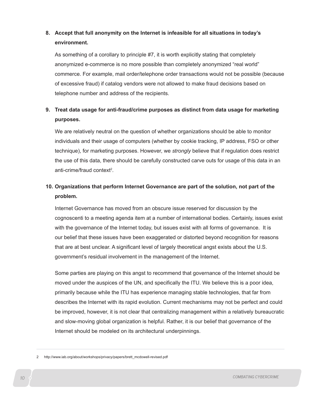## **8. Accept that full anonymity on the Internet is infeasible for all situations in today's environment.**

As something of a corollary to principle #7, it is worth explicitly stating that completely anonymized e-commerce is no more possible than completely anonymized "real world" commerce. For example, mail order/telephone order transactions would not be possible (because of excessive fraud) if catalog vendors were not allowed to make fraud decisions based on telephone number and address of the recipients.

## **9. Treat data usage for anti-fraud/crime purposes as distinct from data usage for marketing purposes.**

We are relatively neutral on the question of whether organizations should be able to monitor individuals and their usage of computers (whether by cookie tracking, IP address, FSO or other technique), for marketing purposes. However, we *strongly* believe that if regulation does restrict the use of this data, there should be carefully constructed carve outs for usage of this data in an anti-crime/fraud context<sup>2</sup>.

## **10. Organizations that perform Internet Governance are part of the solution, not part of the problem.**

Internet Governance has moved from an obscure issue reserved for discussion by the cognoscenti to a meeting agenda item at a number of international bodies. Certainly, issues exist with the governance of the Internet today, but issues exist with all forms of governance. It is our belief that these issues have been exaggerated or distorted beyond recognition for reasons that are at best unclear. A significant level of largely theoretical angst exists about the U.S. government's residual involvement in the management of the Internet.

Some parties are playing on this angst to recommend that governance of the Internet should be moved under the auspices of the UN, and specifically the ITU. We believe this is a poor idea, primarily because while the ITU has experience managing stable technologies, that far from describes the Internet with its rapid evolution. Current mechanisms may not be perfect and could be improved, however, it is not clear that centralizing management within a relatively bureaucratic and slow-moving global organization is helpful. Rather, it is our belief that governance of the Internet should be modeled on its architectural underpinnings.

<sup>2</sup> http://www.iab.org/about/workshops/privacy/papers/brett\_mcdowell-revised.pdf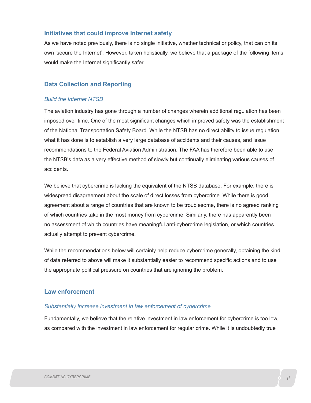### **Initiatives that could improve Internet safety**

As we have noted previously, there is no single initiative, whether technical or policy, that can on its own 'secure the Internet'. However, taken holistically, we believe that a package of the following items would make the Internet significantly safer.

### **Data Collection and Reporting**

#### *Build the Internet NTSB*

The aviation industry has gone through a number of changes wherein additional regulation has been imposed over time. One of the most significant changes which improved safety was the establishment of the National Transportation Safety Board. While the NTSB has no direct ability to issue regulation, what it has done is to establish a very large database of accidents and their causes, and issue recommendations to the Federal Aviation Administration. The FAA has therefore been able to use the NTSB's data as a very effective method of slowly but continually eliminating various causes of accidents.

We believe that cybercrime is lacking the equivalent of the NTSB database. For example, there is widespread disagreement about the scale of direct losses from cybercrime. While there is good agreement about a range of countries that are known to be troublesome, there is no agreed ranking of which countries take in the most money from cybercrime. Similarly, there has apparently been no assessment of which countries have meaningful anti-cybercrime legislation, or which countries actually attempt to prevent cybercrime.

While the recommendations below will certainly help reduce cybercrime generally, obtaining the kind of data referred to above will make it substantially easier to recommend specific actions and to use the appropriate political pressure on countries that are ignoring the problem.

### **Law enforcement**

#### *Substantially increase investment in law enforcement of cybercrime*

Fundamentally, we believe that the relative investment in law enforcement for cybercrime is too low, as compared with the investment in law enforcement for regular crime. While it is undoubtedly true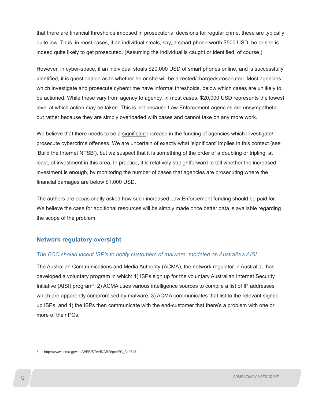that there are financial thresholds imposed in prosecutorial decisions for regular crime, these are typically quite low. Thus, in most cases, if an individual steals, say, a smart phone worth \$500 USD, he or she is indeed quite likely to get prosecuted. (Assuming the individual is caught or identified, of course.)

However, in cyber-space, if an individual steals \$20,000 USD of smart phones online, and is successfully identified, it is questionable as to whether he or she will be arrested/charged/prosecuted. Most agencies which investigate and prosecute cybercrime have informal thresholds, below which cases are unlikely to be actioned. While these vary from agency to agency, in most cases, \$20,000 USD represents the lowest level at which action may be taken. This is not because Law Enforcement agencies are unsympathetic, but rather because they are simply overloaded with cases and cannot take on any more work.

We believe that there needs to be a significant increase in the funding of agencies which investigate/ prosecute cybercrime offenses. We are uncertain of exactly what 'significant' implies in this context (see 'Build the Internet NTSB'), but we suspect that it is something of the order of a doubling or tripling, at least, of investment in this area. In practice, it is relatively straightforward to tell whether the increased investment is enough, by monitoring the number of cases that agencies are prosecuting where the financial damages are below \$1,000 USD.

The authors are occasionally asked how such increased Law Enforcement funding should be paid for. We believe the case for additional resources will be simply made once better data is available regarding the scope of the problem.

### **Network regulatory oversight**

### *The FCC should incent ISP's to notify customers of malware, modeled on Australia's AISI*

The Australian Communications and Media Authority (ACMA), the network regulator in Australia, has developed a voluntary program in which: 1) ISPs sign up for the voluntary Australian Internet Security Initiative (AISI) program<sup>3</sup>, 2) ACMA uses various intelligence sources to compile a list of IP addresses which are apparently compromised by malware, 3) ACMA communicates that list to the relevant signed up ISPs, and 4) the ISPs then communicate with the end-customer that there's a problem with one or more of their PCs.

<sup>3</sup> http://www.acma.gov.au/WEB/STANDARD/pc=PC\_310317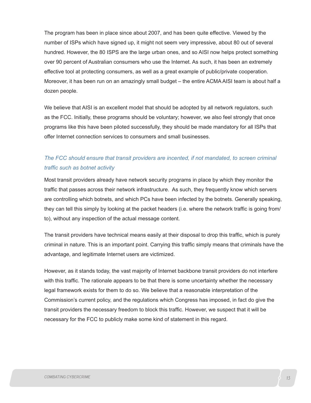The program has been in place since about 2007, and has been quite effective. Viewed by the number of ISPs which have signed up, it might not seem very impressive, about 80 out of several hundred. However, the 80 ISPS are the large urban ones, and so AISI now helps protect something over 90 percent of Australian consumers who use the Internet. As such, it has been an extremely effective tool at protecting consumers, as well as a great example of public/private cooperation. Moreover, it has been run on an amazingly small budget – the entire ACMA AISI team is about half a dozen people.

We believe that AISI is an excellent model that should be adopted by all network regulators, such as the FCC. Initially, these programs should be voluntary; however, we also feel strongly that once programs like this have been piloted successfully, they should be made mandatory for all ISPs that offer Internet connection services to consumers and small businesses.

## *The FCC should ensure that transit providers are incented, if not mandated, to screen criminal traffic such as botnet activity*

Most transit providers already have network security programs in place by which they monitor the traffic that passes across their network infrastructure. As such, they frequently know which servers are controlling which botnets, and which PCs have been infected by the botnets. Generally speaking, they can tell this simply by looking at the packet headers (i.e. where the network traffic is going from/ to), without any inspection of the actual message content.

The transit providers have technical means easily at their disposal to drop this traffic, which is purely criminal in nature. This is an important point. Carrying this traffic simply means that criminals have the advantage, and legitimate Internet users are victimized.

However, as it stands today, the vast majority of Internet backbone transit providers do not interfere with this traffic. The rationale appears to be that there is some uncertainty whether the necessary legal framework exists for them to do so. We believe that a reasonable interpretation of the Commission's current policy, and the regulations which Congress has imposed, in fact do give the transit providers the necessary freedom to block this traffic. However, we suspect that it will be necessary for the FCC to publicly make some kind of statement in this regard.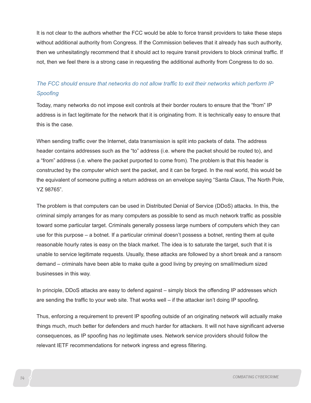It is not clear to the authors whether the FCC would be able to force transit providers to take these steps without additional authority from Congress. If the Commission believes that it already has such authority, then we unhesitatingly recommend that it should act to require transit providers to block criminal traffic. If not, then we feel there is a strong case in requesting the additional authority from Congress to do so.

## *The FCC should ensure that networks do not allow traffic to exit their networks which perform IP Spoofing*

Today, many networks do not impose exit controls at their border routers to ensure that the "from" IP address is in fact legitimate for the network that it is originating from. It is technically easy to ensure that this is the case.

When sending traffic over the Internet, data transmission is split into packets of data. The address header contains addresses such as the "to" address (i.e. where the packet should be routed to), and a "from" address (i.e. where the packet purported to come from). The problem is that this header is constructed by the computer which sent the packet, and it can be forged. In the real world, this would be the equivalent of someone putting a return address on an envelope saying "Santa Claus, The North Pole, YZ 98765".

The problem is that computers can be used in Distributed Denial of Service (DDoS) attacks. In this, the criminal simply arranges for as many computers as possible to send as much network traffic as possible toward some particular target. Criminals generally possess large numbers of computers which they can use for this purpose – a botnet. If a particular criminal doesn't possess a botnet, renting them at quite reasonable hourly rates is easy on the black market. The idea is to saturate the target, such that it is unable to service legitimate requests. Usually, these attacks are followed by a short break and a ransom demand – criminals have been able to make quite a good living by preying on small/medium sized businesses in this way.

In principle, DDoS attacks are easy to defend against – simply block the offending IP addresses which are sending the traffic to your web site. That works well – if the attacker isn't doing IP spoofing.

Thus, enforcing a requirement to prevent IP spoofing outside of an originating network will actually make things much, much better for defenders and much harder for attackers. It will not have significant adverse consequences, as IP spoofing has *no* legitimate uses. Network service providers should follow the relevant IETF recommendations for network ingress and egress filtering.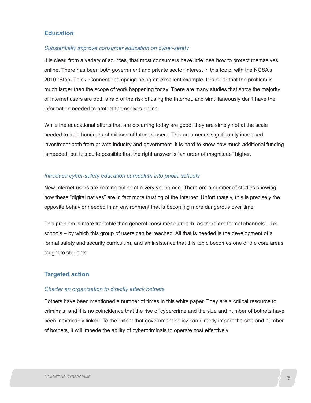### **Education**

#### *Substantially improve consumer education on cyber-safety*

It is clear, from a variety of sources, that most consumers have little idea how to protect themselves online. There has been both government and private sector interest in this topic, with the NCSA's 2010 "Stop. Think. Connect." campaign being an excellent example. It is clear that the problem is much larger than the scope of work happening today. There are many studies that show the majority of Internet users are both afraid of the risk of using the Internet, and simultaneously don't have the information needed to protect themselves online.

While the educational efforts that are occurring today are good, they are simply not at the scale needed to help hundreds of millions of Internet users. This area needs significantly increased investment both from private industry and government. It is hard to know how much additional funding is needed, but it is quite possible that the right answer is "an order of magnitude" higher.

#### *Introduce cyber-safety education curriculum into public schools*

New Internet users are coming online at a very young age. There are a number of studies showing how these "digital natives" are in fact more trusting of the Internet. Unfortunately, this is precisely the opposite behavior needed in an environment that is becoming more dangerous over time.

This problem is more tractable than general consumer outreach, as there are formal channels – i.e. schools – by which this group of users can be reached. All that is needed is the development of a formal safety and security curriculum, and an insistence that this topic becomes one of the core areas taught to students.

### **Targeted action**

#### *Charter an organization to directly attack botnets*

Botnets have been mentioned a number of times in this white paper. They are a critical resource to criminals, and it is no coincidence that the rise of cybercrime and the size and number of botnets have been inextricably linked. To the extent that government policy can directly impact the size and number of botnets, it will impede the ability of cybercriminals to operate cost effectively.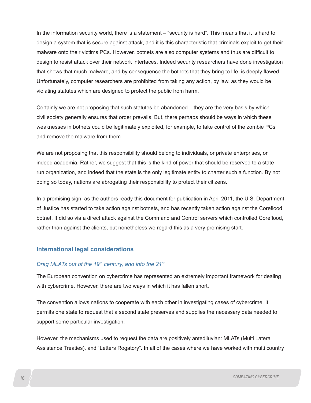In the information security world, there is a statement – "security is hard". This means that it is hard to design a system that is secure against attack, and it is this characteristic that criminals exploit to get their malware onto their victims PCs. However, botnets are also computer systems and thus are difficult to design to resist attack over their network interfaces. Indeed security researchers have done investigation that shows that much malware, and by consequence the botnets that they bring to life, is deeply flawed. Unfortunately, computer researchers are prohibited from taking any action, by law, as they would be violating statutes which are designed to protect the public from harm.

Certainly we are not proposing that such statutes be abandoned – they are the very basis by which civil society generally ensures that order prevails. But, there perhaps should be ways in which these weaknesses in botnets could be legitimately exploited, for example, to take control of the zombie PCs and remove the malware from them.

We are not proposing that this responsibility should belong to individuals, or private enterprises, or indeed academia. Rather, we suggest that this is the kind of power that should be reserved to a state run organization, and indeed that the state is the only legitimate entity to charter such a function. By not doing so today, nations are abrogating their responsibility to protect their citizens.

In a promising sign, as the authors ready this document for publication in April 2011, the U.S. Department of Justice has started to take action against botnets, and has recently taken action against the Coreflood botnet. It did so via a direct attack against the Command and Control servers which controlled Coreflood, rather than against the clients, but nonetheless we regard this as a very promising start.

### **International legal considerations**

### *Drag MLATs out of the 19th century, and into the 21st*

The European convention on cybercrime has represented an extremely important framework for dealing with cybercrime. However, there are two ways in which it has fallen short.

The convention allows nations to cooperate with each other in investigating cases of cybercrime. It permits one state to request that a second state preserves and supplies the necessary data needed to support some particular investigation.

However, the mechanisms used to request the data are positively antediluvian: MLATs (Multi Lateral Assistance Treaties), and "Letters Rogatory". In all of the cases where we have worked with multi country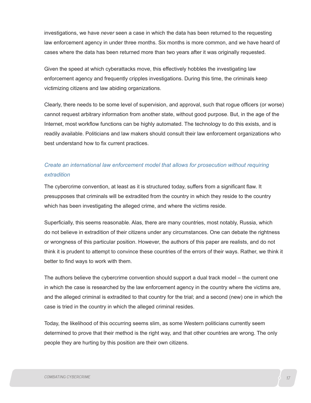investigations, we have *never* seen a case in which the data has been returned to the requesting law enforcement agency in under three months. Six months is more common, and we have heard of cases where the data has been returned more than two years after it was originally requested.

Given the speed at which cyberattacks move, this effectively hobbles the investigating law enforcement agency and frequently cripples investigations. During this time, the criminals keep victimizing citizens and law abiding organizations.

Clearly, there needs to be some level of supervision, and approval, such that rogue officers (or worse) cannot request arbitrary information from another state, without good purpose. But, in the age of the Internet, most workflow functions can be highly automated. The technology to do this exists, and is readily available. Politicians and law makers should consult their law enforcement organizations who best understand how to fix current practices.

## *Create an international law enforcement model that allows for prosecution without requiring extradition*

The cybercrime convention, at least as it is structured today, suffers from a significant flaw. It presupposes that criminals will be extradited from the country in which they reside to the country which has been investigating the alleged crime, and where the victims reside.

Superficially, this seems reasonable. Alas, there are many countries, most notably, Russia, which do not believe in extradition of their citizens under any circumstances. One can debate the rightness or wrongness of this particular position. However, the authors of this paper are realists, and do not think it is prudent to attempt to convince these countries of the errors of their ways. Rather, we think it better to find ways to work with them.

The authors believe the cybercrime convention should support a dual track model – the current one in which the case is researched by the law enforcement agency in the country where the victims are, and the alleged criminal is extradited to that country for the trial; and a second (new) one in which the case is tried in the country in which the alleged criminal resides.

Today, the likelihood of this occurring seems slim, as some Western politicians currently seem determined to prove that their method is the right way, and that other countries are wrong. The only people they are hurting by this position are their own citizens.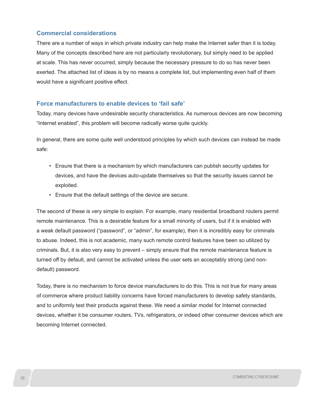### **Commercial considerations**

There are a number of ways in which private industry can help make the Internet safer than it is today. Many of the concepts described here are not particularly revolutionary, but simply need to be applied at scale. This has never occurred, simply because the necessary pressure to do so has never been exerted. The attached list of ideas is by no means a complete list, but implementing even half of them would have a significant positive effect.

### **Force manufacturers to enable devices to 'fail safe'**

Today, many devices have undesirable security characteristics. As numerous devices are now becoming "Internet enabled", this problem will become radically worse quite quickly.

In general, there are some quite well understood principles by which such devices can instead be made safe:

- Ensure that there is a mechanism by which manufacturers can publish security updates for devices, and have the devices auto-update themselves so that the security issues cannot be exploited.
- Ensure that the default settings of the device are secure.

The second of these is very simple to explain. For example, many residential broadband routers permit remote maintenance. This is a desirable feature for a small minority of users, but if it is enabled with a weak default password ("password", or "admin", for example), then it is incredibly easy for criminals to abuse. Indeed, this is not academic, many such remote control features have been so utilized by criminals. But, it is also very easy to prevent – simply ensure that the remote maintenance feature is turned off by default, and cannot be activated unless the user sets an acceptably strong (and nondefault) password.

Today, there is no mechanism to force device manufacturers to do this. This is not true for many areas of commerce where product liability concerns have forced manufacturers to develop safety standards, and to uniformly test their products against these. We need a similar model for Internet connected devices, whether it be consumer routers, TVs, refrigerators, or indeed other consumer devices which are becoming Internet connected.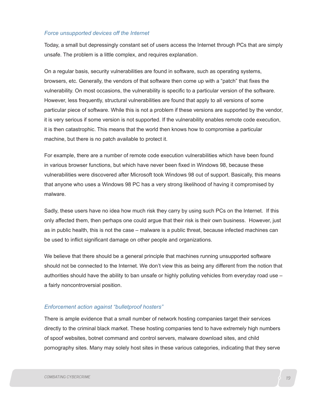#### *Force unsupported devices off the Internet*

Today, a small but depressingly constant set of users access the Internet through PCs that are simply unsafe. The problem is a little complex, and requires explanation.

On a regular basis, security vulnerabilities are found in software, such as operating systems, browsers, etc. Generally, the vendors of that software then come up with a "patch" that fixes the vulnerability. On most occasions, the vulnerability is specific to a particular version of the software. However, less frequently, structural vulnerabilities are found that apply to all versions of some particular piece of software. While this is not a problem if these versions are supported by the vendor, it is very serious if some version is not supported. If the vulnerability enables remote code execution, it is then catastrophic. This means that the world then knows how to compromise a particular machine, but there is no patch available to protect it.

For example, there are a number of remote code execution vulnerabilities which have been found in various browser functions, but which have never been fixed in Windows 98, because these vulnerabilities were discovered after Microsoft took Windows 98 out of support. Basically, this means that anyone who uses a Windows 98 PC has a very strong likelihood of having it compromised by malware.

Sadly, these users have no idea how much risk they carry by using such PCs on the Internet. If this only affected them, then perhaps one could argue that their risk is their own business. However, just as in public health, this is not the case – malware is a public threat, because infected machines can be used to inflict significant damage on other people and organizations.

We believe that there should be a general principle that machines running unsupported software should not be connected to the Internet. We don't view this as being any different from the notion that authorities should have the ability to ban unsafe or highly polluting vehicles from everyday road use – a fairly noncontroversial position.

### *Enforcement action against "bulletproof hosters"*

There is ample evidence that a small number of network hosting companies target their services directly to the criminal black market. These hosting companies tend to have extremely high numbers of spoof websites, botnet command and control servers, malware download sites, and child pornography sites. Many may solely host sites in these various categories, indicating that they serve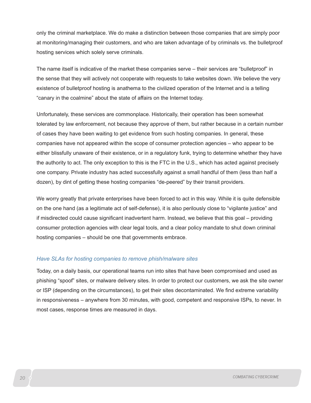only the criminal marketplace. We do make a distinction between those companies that are simply poor at monitoring/managing their customers, and who are taken advantage of by criminals vs. the bulletproof hosting services which solely serve criminals.

The name itself is indicative of the market these companies serve – their services are "bulletproof" in the sense that they will actively not cooperate with requests to take websites down. We believe the very existence of bulletproof hosting is anathema to the civilized operation of the Internet and is a telling "canary in the coalmine" about the state of affairs on the Internet today.

Unfortunately, these services are commonplace. Historically, their operation has been somewhat tolerated by law enforcement, not because they approve of them, but rather because in a certain number of cases they have been waiting to get evidence from such hosting companies. In general, these companies have not appeared within the scope of consumer protection agencies – who appear to be either blissfully unaware of their existence, or in a regulatory funk, trying to determine whether they have the authority to act. The only exception to this is the FTC in the U.S., which has acted against precisely one company. Private industry has acted successfully against a small handful of them (less than half a dozen), by dint of getting these hosting companies "de-peered" by their transit providers.

We worry greatly that private enterprises have been forced to act in this way. While it is quite defensible on the one hand (as a legitimate act of self-defense), it is also perilously close to "vigilante justice" and if misdirected could cause significant inadvertent harm. Instead, we believe that this goal – providing consumer protection agencies with clear legal tools, and a clear policy mandate to shut down criminal hosting companies – should be one that governments embrace.

#### *Have SLAs for hosting companies to remove phish/malware sites*

Today, on a daily basis, our operational teams run into sites that have been compromised and used as phishing "spoof" sites, or malware delivery sites. In order to protect our customers, we ask the site owner or ISP (depending on the circumstances), to get their sites decontaminated. We find extreme variability in responsiveness – anywhere from 30 minutes, with good, competent and responsive ISPs, to never. In most cases, response times are measured in days.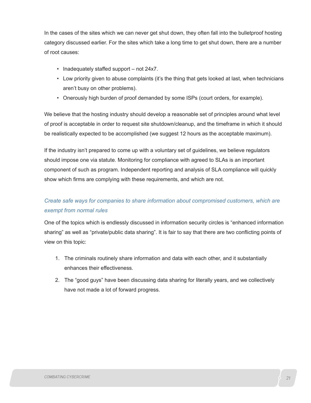In the cases of the sites which we can never get shut down, they often fall into the bulletproof hosting category discussed earlier. For the sites which take a long time to get shut down, there are a number of root causes:

- Inadequately staffed support not 24x7.
- Low priority given to abuse complaints (it's the thing that gets looked at last, when technicians aren't busy on other problems).
- Onerously high burden of proof demanded by some ISPs (court orders, for example).

We believe that the hosting industry should develop a reasonable set of principles around what level of proof is acceptable in order to request site shutdown/cleanup, and the timeframe in which it should be realistically expected to be accomplished (we suggest 12 hours as the acceptable maximum).

If the industry isn't prepared to come up with a voluntary set of guidelines, we believe regulators should impose one via statute. Monitoring for compliance with agreed to SLAs is an important component of such as program. Independent reporting and analysis of SLA compliance will quickly show which firms are complying with these requirements, and which are not.

## *Create safe ways for companies to share information about compromised customers, which are exempt from normal rules*

One of the topics which is endlessly discussed in information security circles is "enhanced information sharing" as well as "private/public data sharing". It is fair to say that there are two conflicting points of view on this topic:

- 1. The criminals routinely share information and data with each other, and it substantially enhances their effectiveness.
- 2. The "good guys" have been discussing data sharing for literally years, and we collectively have not made a lot of forward progress.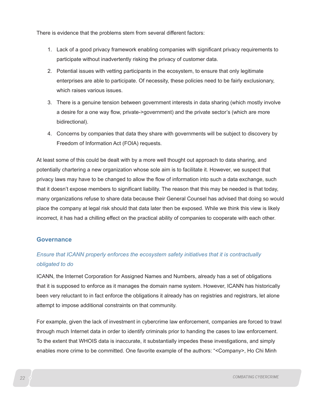There is evidence that the problems stem from several different factors:

- 1. Lack of a good privacy framework enabling companies with significant privacy requirements to participate without inadvertently risking the privacy of customer data.
- 2. Potential issues with vetting participants in the ecosystem, to ensure that only legitimate enterprises are able to participate. Of necessity, these policies need to be fairly exclusionary, which raises various issues.
- 3. There is a genuine tension between government interests in data sharing (which mostly involve a desire for a one way flow, private->government) and the private sector's (which are more bidirectional).
- 4. Concerns by companies that data they share with governments will be subject to discovery by Freedom of Information Act (FOIA) requests.

At least some of this could be dealt with by a more well thought out approach to data sharing, and potentially chartering a new organization whose sole aim is to facilitate it. However, we suspect that privacy laws may have to be changed to allow the flow of information into such a data exchange, such that it doesn't expose members to significant liability. The reason that this may be needed is that today, many organizations refuse to share data because their General Counsel has advised that doing so would place the company at legal risk should that data later then be exposed. While we think this view is likely incorrect, it has had a chilling effect on the practical ability of companies to cooperate with each other.

### **Governance**

## *Ensure that ICANN properly enforces the ecosystem safety initiatives that it is contractually obligated to do*

ICANN, the Internet Corporation for Assigned Names and Numbers, already has a set of obligations that it is supposed to enforce as it manages the domain name system. However, ICANN has historically been very reluctant to in fact enforce the obligations it already has on registries and registrars, let alone attempt to impose additional constraints on that community.

For example, given the lack of investment in cybercrime law enforcement, companies are forced to trawl through much Internet data in order to identify criminals prior to handing the cases to law enforcement. To the extent that WHOIS data is inaccurate, it substantially impedes these investigations, and simply enables more crime to be committed. One favorite example of the authors: "<Company>, Ho Chi Minh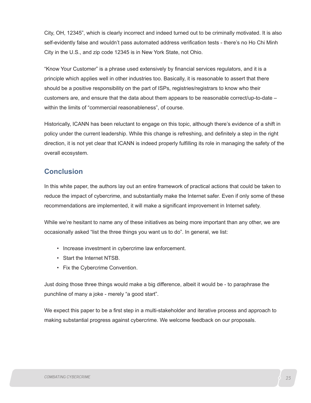City, OH, 12345", which is clearly incorrect and indeed turned out to be criminally motivated. It is also self-evidently false and wouldn't pass automated address verification tests - there's no Ho Chi Minh City in the U.S., and zip code 12345 is in New York State, not Ohio.

"Know Your Customer" is a phrase used extensively by financial services regulators, and it is a principle which applies well in other industries too. Basically, it is reasonable to assert that there should be a positive responsibility on the part of ISPs, registries/registrars to know who their customers are, and ensure that the data about them appears to be reasonable correct/up-to-date – within the limits of "commercial reasonableness", of course.

Historically, ICANN has been reluctant to engage on this topic, although there's evidence of a shift in policy under the current leadership. While this change is refreshing, and definitely a step in the right direction, it is not yet clear that ICANN is indeed properly fulfilling its role in managing the safety of the overall ecosystem.

## **Conclusion**

In this white paper, the authors lay out an entire framework of practical actions that could be taken to reduce the impact of cybercrime, and substantially make the Internet safer. Even if only some of these recommendations are implemented, it will make a significant improvement in Internet safety.

While we're hesitant to name any of these initiatives as being more important than any other, we are occasionally asked "list the three things you want us to do". In general, we list:

- Increase investment in cybercrime law enforcement.
- Start the Internet NTSB.
- Fix the Cybercrime Convention.

Just doing those three things would make a big difference, albeit it would be - to paraphrase the punchline of many a joke - merely "a good start".

We expect this paper to be a first step in a multi-stakeholder and iterative process and approach to making substantial progress against cybercrime. We welcome feedback on our proposals.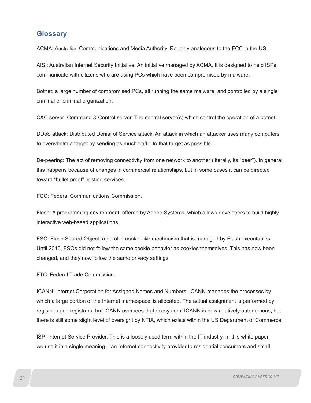## **Glossary**

ACMA: Australian Communications and Media Authority. Roughly analogous to the FCC in the US.

AISI: Australian Internet Security Initiative. An initiative managed by ACMA. It is designed to help ISPs communicate with citizens who are using PCs which have been compromised by malware.

Botnet: a large number of compromised PCs, all running the same malware, and controlled by a single criminal or criminal organization.

C&C server: Command & Control server. The central server(s) which control the operation of a botnet.

DDoS attack: Distributed Denial of Service attack. An attack in which an attacker uses many computers to overwhelm a target by sending as much traffic to that target as possible.

De-peering: The act of removing connectivity from one network to another (literally, its "peer"). In general, this happens because of changes in commercial relationships, but in some cases it can be directed toward "bullet proof" hosting services.

FCC: Federal Communications Commission.

Flash: A programming environment, offered by Adobe Systems, which allows developers to build highly interactive web-based applications.

FSO: Flash Shared Object: a parallel cookie-like mechanism that is managed by Flash executables. Until 2010, FSOs did not follow the same cookie behavior as cookies themselves. This has now been changed, and they now follow the same privacy settings.

FTC: Federal Trade Commission.

ICANN: Internet Corporation for Assigned Names and Numbers. ICANN manages the processes by which a large portion of the Internet 'namespace' is allocated. The actual assignment is performed by registries and registrars, but ICANN oversees that ecosystem. ICANN is now relatively autonomous, but there is still some slight level of oversight by NTIA, which exists within the US Department of Commerce.

ISP: Internet Service Provider. This is a loosely used term within the IT industry. In this white paper, we use it in a single meaning – an Internet connectivity provider to residential consumers and small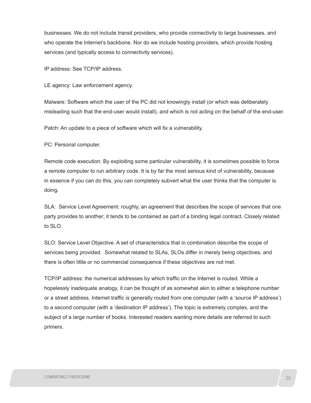businesses. We do not include transit providers, who provide connectivity to large businesses, and who operate the Internet's backbone. Nor do we include hosting providers, which provide hosting services (and typically access to connectivity services).

IP address: See TCP/IP address.

LE agency: Law enforcement agency.

Malware: Software which the user of the PC did not knowingly install (or which was deliberately misleading such that the end-user would install), and which is not acting on the behalf of the end-user.

Patch: An update to a piece of software which will fix a vulnerability.

PC: Personal computer.

Remote code execution: By exploiting some particular vulnerability, it is sometimes possible to force a remote computer to run arbitrary code. It is by far the most serious kind of vulnerability, because in essence if you can do this, you can completely subvert what the user thinks that the computer is doing.

SLA: Service Level Agreement: roughly, an agreement that describes the scope of services that one party provides to another; it tends to be contained as part of a binding legal contract. Closely related to SLO.

SLO: Service Level Objective. A set of characteristics that in combination describe the scope of services being provided. Somewhat related to SLAs, SLOs differ in merely being objectives, and there is often little or no commercial consequence if these objectives are not met.

TCP/IP address: the numerical addresses by which traffic on the Internet is routed. While a hopelessly inadequate analogy, it can be thought of as somewhat akin to either a telephone number or a street address. Internet traffic is generally routed from one computer (with a 'source IP address') to a second computer (with a 'destination IP address'). The topic is extremely complex, and the subject of a large number of books. Interested readers wanting more details are referred to such primers.